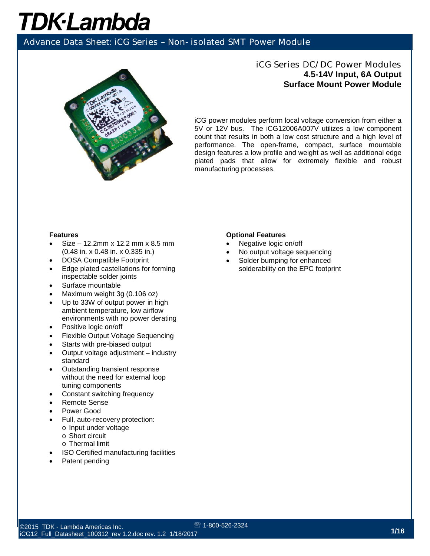### Advance Data Sheet: iCG Series – Non-isolated SMT Power Module



#### iCG Series DC/DC Power Modules **4.5-14V Input, 6A Output Surface Mount Power Module**

iCG power modules perform local voltage conversion from either a 5V or 12V bus. The iCG12006A007V utilizes a low component count that results in both a low cost structure and a high level of performance. The open-frame, compact, surface mountable design features a low profile and weight as well as additional edge plated pads that allow for extremely flexible and robust manufacturing processes.

#### **Features**

- Size 12.2mm x 12.2 mm x 8.5 mm (0.48 in. x 0.48 in. x 0.335 in.)
- DOSA Compatible Footprint
- Edge plated castellations for forming inspectable solder joints
- Surface mountable
- Maximum weight 3g (0.106 oz)
- Up to 33W of output power in high ambient temperature, low airflow environments with no power derating
- Positive logic on/off
- Flexible Output Voltage Sequencing
- Starts with pre-biased output
- Output voltage adjustment industry standard
- Outstanding transient response without the need for external loop tuning components
- Constant switching frequency
- Remote Sense
- Power Good
- Full, auto-recovery protection:
	- o Input under voltage
	- o Short circuit
	- o Thermal limit
- ISO Certified manufacturing facilities
- Patent pending

#### **Optional Features**

- Negative logic on/off
- No output voltage sequencing
- Solder bumping for enhanced solderability on the EPC footprint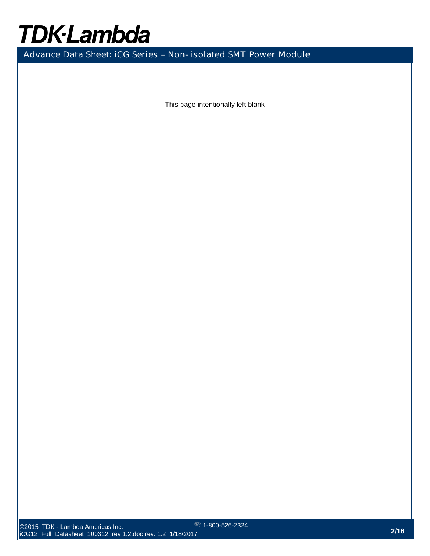## **TDK-Lambda**

Advance Data Sheet: iCG Series – Non-isolated SMT Power Module

This page intentionally left blank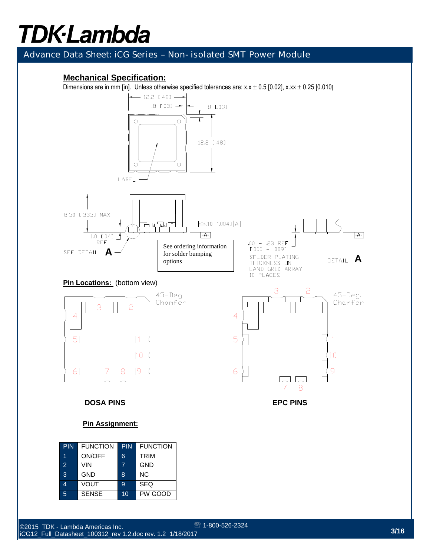## Advance Data Sheet: iCG Series – Non-isolated SMT Power Module

### **Mechanical Specification:**

Dimensions are in mm [in]. Unless otherwise specified tolerances are:  $x.x \pm 0.5$  [0.02],  $x.x \pm 0.25$  [0.010]



|   | ON/OFF       | 6  | <b>TRIM</b> |
|---|--------------|----|-------------|
| 2 | <b>VIN</b>   |    | <b>GND</b>  |
| 3 | <b>GND</b>   | B. | NC.         |
| 4 | <b>VOUT</b>  | 9  | <b>SEQ</b>  |
| 5 | <b>SENSE</b> | 10 | PW GOOD     |

℡ 1-800-526-2324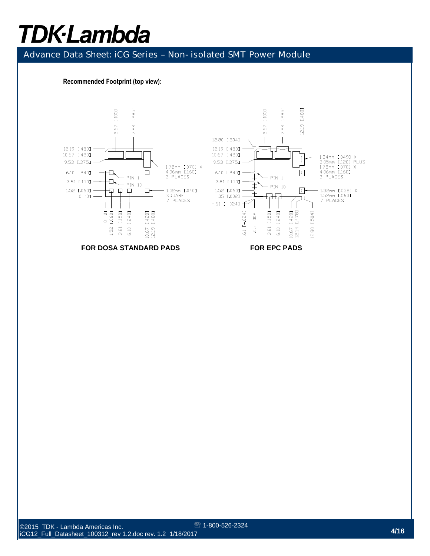Advance Data Sheet: iCG Series – Non-isolated SMT Power Module

#### **Recommended Footprint (top view):**



©2015 TDK - Lambda Americas Inc. iCG12\_Full\_Datasheet\_100312\_rev 1.2.doc rev. 1.2 1/18/2017 ℡ 1-800-526-2324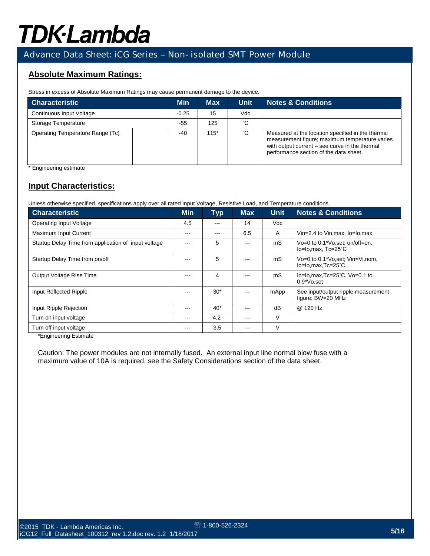## Advance Data Sheet: iCG Series – Non-isolated SMT Power Module

### **Absolute Maximum Ratings:**

#### Stress in excess of Absolute Maximum Ratings may cause permanent damage to the device.

| <b>Characteristic</b>            | <b>Min</b> | <b>Max</b> | <b>Unit</b> | <b>Notes &amp; Conditions</b>                                                                                                                                                                   |
|----------------------------------|------------|------------|-------------|-------------------------------------------------------------------------------------------------------------------------------------------------------------------------------------------------|
| Continuous Input Voltage         | $-0.25$    | 15         | Vdc         |                                                                                                                                                                                                 |
| Storage Temperature              | -55        | 125        | °С          |                                                                                                                                                                                                 |
| Operating Temperature Range (Tc) | $-40$      | $115*$     | °С          | Measured at the location specified in the thermal<br>measurement figure; maximum temperature varies<br>with output current – see curve in the thermal<br>performance section of the data sheet. |

\* Engineering estimate

### **Input Characteristics:**

Unless otherwise specified, specifications apply over all rated Input Voltage, Resistive Load, and Temperature conditions.

| <b>Characteristic</b>                                |     | <b>Typ</b> | <b>Max</b> | <b>Unit</b> | <b>Notes &amp; Conditions</b>                                        |
|------------------------------------------------------|-----|------------|------------|-------------|----------------------------------------------------------------------|
| <b>Operating Input Voltage</b>                       |     |            | 14         | Vdc         |                                                                      |
| Maximum Input Current                                | --- |            | 6.5        | A           | Vin=2.4 to Vin, max; lo=lo, max                                      |
| Startup Delay Time from application of input voltage | --- | 5          | ---        | mS          | Vo=0 to 0.1*Vo, set; on/off=on,<br>$lo = Io$ .max. $Tc = 25^\circ C$ |
| Startup Delay Time from on/off                       |     | 5          |            | mS          | Vo=0 to 0.1*Vo.set; Vin=Vi,nom,<br>$Io = Io.max.Tc = 25°C$           |
| <b>Output Voltage Rise Time</b>                      |     | 4          |            | mS          | $lo = Io, max, Tc = 25^{\circ}C, Vo = 0.1$ to<br>$0.9*$ Vo.set       |
| Input Reflected Ripple                               |     | $30*$      |            | mApp        | See input/output ripple measurement<br>figure; BW=20 MHz             |
| Input Ripple Rejection                               |     | $40*$      |            | dB          | @ 120 Hz                                                             |
| Turn on input voltage                                | --- | 4.2        |            | V           |                                                                      |
| Turn off input voltage                               | --- | 3.5        | ---        | V           |                                                                      |

\*Engineering Estimate

Caution: The power modules are not internally fused. An external input line normal blow fuse with a maximum value of 10A is required, see the Safety Considerations section of the data sheet.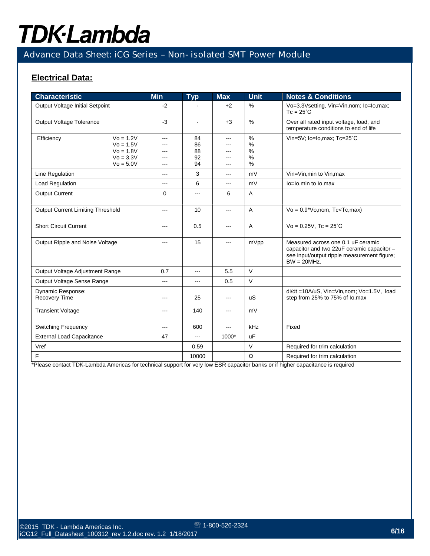## **TDK-Lambda**

## Advance Data Sheet: iCG Series – Non-isolated SMT Power Module

### **Electrical Data:**

| <b>Characteristic</b>                    |                                                                         | <b>Min</b>                      | <b>Typ</b>                 | <b>Max</b>                                     | <b>Unit</b>                                   | <b>Notes &amp; Conditions</b>                                                                                                                     |
|------------------------------------------|-------------------------------------------------------------------------|---------------------------------|----------------------------|------------------------------------------------|-----------------------------------------------|---------------------------------------------------------------------------------------------------------------------------------------------------|
| Output Voltage Initial Setpoint          |                                                                         | $-2$                            |                            | $+2$                                           | %                                             | Vo=3.3Vsetting, Vin=Vin, nom; lo=lo, max;<br>$Tc = 25^{\circ}C$                                                                                   |
| Output Voltage Tolerance                 |                                                                         | $-3$                            |                            | $+3$                                           | $\%$                                          | Over all rated input voltage, load, and<br>temperature conditions to end of life                                                                  |
| Efficiency                               | $Vo = 1.2V$<br>$Vo = 1.5V$<br>$Vo = 1.8V$<br>$Vo = 3.3V$<br>$Vo = 5.0V$ | ---<br>---<br>---<br>---<br>--- | 84<br>86<br>88<br>92<br>94 | $\overline{a}$<br>---<br>---<br>$- - -$<br>--- | $\frac{0}{0}$<br>$\%$<br>$\%$<br>$\%$<br>$\%$ | Vin=5V; Io=Io, max; Tc=25°C                                                                                                                       |
| Line Regulation                          |                                                                         | ---                             | 3                          | $- - -$                                        | mV                                            | Vin=Vin, min to Vin, max                                                                                                                          |
| Load Regulation                          |                                                                         | ---                             | 6                          | $\overline{a}$                                 | mV                                            | lo=lo, min to lo, max                                                                                                                             |
| <b>Output Current</b>                    |                                                                         | 0                               | $\frac{1}{2}$              | 6                                              | Α                                             |                                                                                                                                                   |
| <b>Output Current Limiting Threshold</b> |                                                                         | ---                             | 10                         | $\overline{a}$                                 | A                                             | $Vo = 0.9*Vo, nom, Tc < Tc, max)$                                                                                                                 |
| <b>Short Circuit Current</b>             |                                                                         | ---                             | 0.5                        | $---$                                          | Α                                             | $Vo = 0.25V$ , Tc = $25^{\circ}C$                                                                                                                 |
| Output Ripple and Noise Voltage          |                                                                         | ---                             | 15                         | $- - -$                                        | mVpp                                          | Measured across one 0.1 uF ceramic<br>capacitor and two 22uF ceramic capacitor -<br>see input/output ripple measurement figure;<br>$BW = 20MHz$ . |
| Output Voltage Adjustment Range          |                                                                         | 0.7                             | $---$                      | 5.5                                            | $\vee$                                        |                                                                                                                                                   |
| Output Voltage Sense Range               |                                                                         | ---                             | $\overline{a}$             | 0.5                                            | $\vee$                                        |                                                                                                                                                   |
| Dynamic Response:<br>Recovery Time       |                                                                         | $- - -$                         | 25                         | $---$                                          | <b>uS</b>                                     | di/dt =10A/uS, Vin=Vin, nom; Vo=1.5V, load<br>step from 25% to 75% of lo, max                                                                     |
| <b>Transient Voltage</b>                 |                                                                         | ---                             | 140                        | ---                                            | mV                                            |                                                                                                                                                   |
| <b>Switching Frequency</b>               |                                                                         | ---                             | 600                        | $---$                                          | kHz                                           | Fixed                                                                                                                                             |
| <b>External Load Capacitance</b>         |                                                                         | 47                              | $\qquad \qquad -$          | 1000*                                          | <b>uF</b>                                     |                                                                                                                                                   |
| Vref                                     |                                                                         |                                 | 0.59                       |                                                | V                                             | Required for trim calculation                                                                                                                     |
| F                                        |                                                                         |                                 | 10000                      |                                                | Ω                                             | Required for trim calculation                                                                                                                     |

\*Please contact TDK-Lambda Americas for technical support for very low ESR capacitor banks or if higher capacitance is required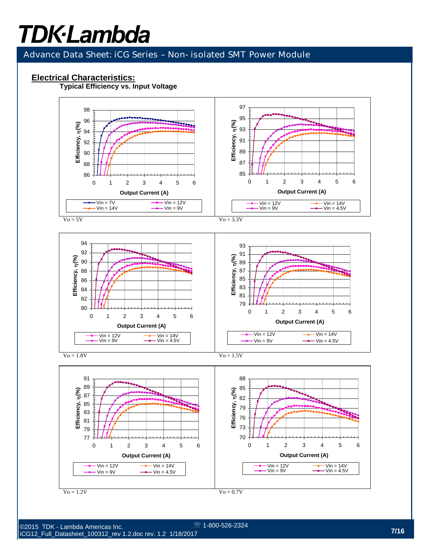## Advance Data Sheet: iCG Series – Non-isolated SMT Power Module

### **Electrical Characteristics:**

**Typical Efficiency vs. Input Voltage** 

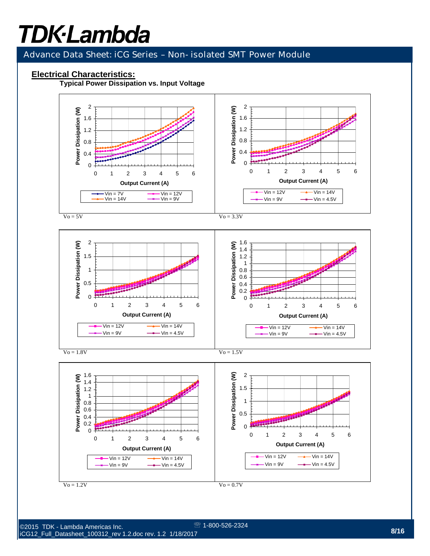# **TDK-Lambda**

## Advance Data Sheet: iCG Series – Non-isolated SMT Power Module

### **Electrical Characteristics:**

**Typical Power Dissipation vs. Input Voltage** 

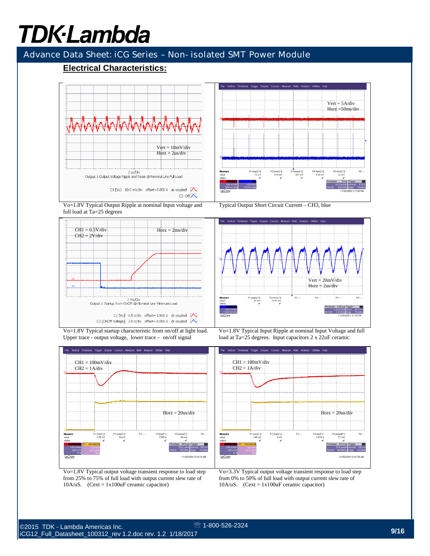## Advance Data Sheet: iCG Series – Non-isolated SMT Power Module

## **Electrical Characteristics:**



Vo=1.8V Typical Output Ripple at nominal Input voltage and full load at Ta=25 degrees



Vo=1.8V Typical startup characteristic from on/off at light load. Upper trace - output voltage, lower trace – on/off signal



Vo=1.8V Typical output voltage transient response to load step from 25% to 75% of full load with output current slew rate of 10A/uS. (Cext =  $1x100uF$  ceramic capacitor)

Typical Output Short Circuit Current – CH3, blue



Vo=1.8V Typical Input Ripple at nominal Input Voltage and full load at Ta=25 degrees. Input capacitors 2 x 22uF ceramic



Vo=3.3V Typical output voltage transient response to load step from 0% to 50% of full load with output current slew rate of 10A/uS. (Cext =  $1x100uF$  ceramic capacitor)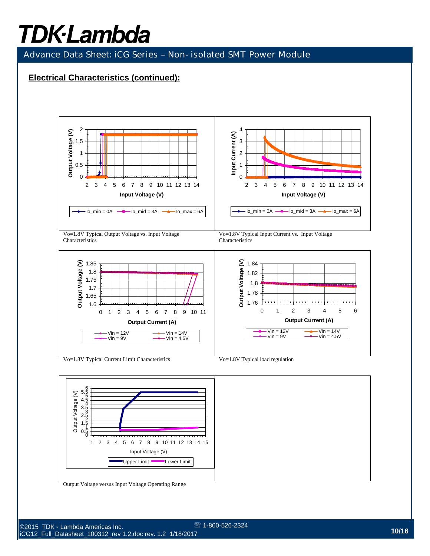Advance Data Sheet: iCG Series – Non-isolated SMT Power Module

## **Electrical Characteristics (continued):**



Characteristics











Output Voltage versus Input Voltage Operating Range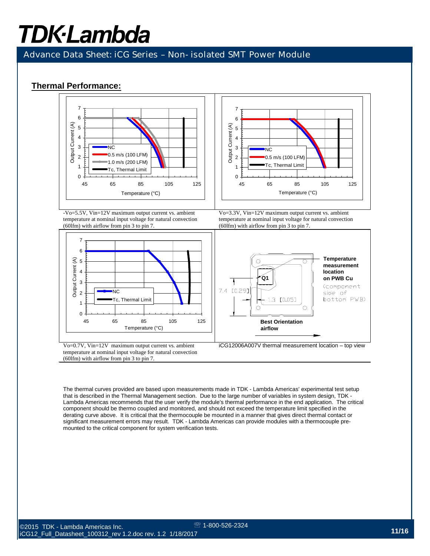## Advance Data Sheet: iCG Series – Non-isolated SMT Power Module

### **Thermal Performance:**



The thermal curves provided are based upon measurements made in TDK - Lambda Americas' experimental test setup that is described in the Thermal Management section. Due to the large number of variables in system design, TDK - Lambda Americas recommends that the user verify the module's thermal performance in the end application. The critical component should be thermo coupled and monitored, and should not exceed the temperature limit specified in the derating curve above. It is critical that the thermocouple be mounted in a manner that gives direct thermal contact or significant measurement errors may result. TDK - Lambda Americas can provide modules with a thermocouple premounted to the critical component for system verification tests.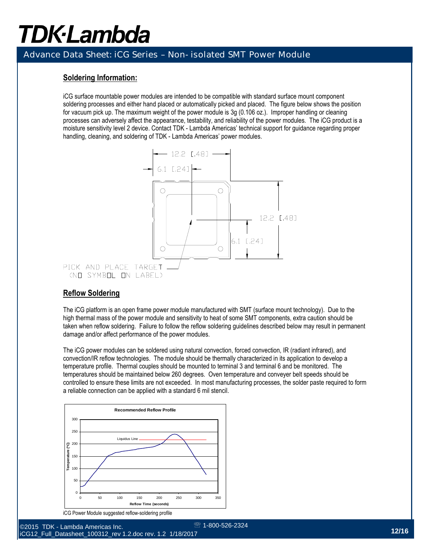### Advance Data Sheet: iCG Series – Non-isolated SMT Power Module

#### **Soldering Information:**

iCG surface mountable power modules are intended to be compatible with standard surface mount component soldering processes and either hand placed or automatically picked and placed. The figure below shows the position for vacuum pick up. The maximum weight of the power module is 3g (0.106 oz.). Improper handling or cleaning processes can adversely affect the appearance, testability, and reliability of the power modules. The iCG product is a moisture sensitivity level 2 device. Contact TDK - Lambda Americas' technical support for guidance regarding proper handling, cleaning, and soldering of TDK - Lambda Americas' power modules.



#### **Reflow Soldering**

The iCG platform is an open frame power module manufactured with SMT (surface mount technology). Due to the high thermal mass of the power module and sensitivity to heat of some SMT components, extra caution should be taken when reflow soldering. Failure to follow the reflow soldering guidelines described below may result in permanent damage and/or affect performance of the power modules.

The iCG power modules can be soldered using natural convection, forced convection, IR (radiant infrared), and convection/IR reflow technologies. The module should be thermally characterized in its application to develop a temperature profile. Thermal couples should be mounted to terminal 3 and terminal 6 and be monitored. The temperatures should be maintained below 260 degrees. Oven temperature and conveyer belt speeds should be controlled to ensure these limits are not exceeded. In most manufacturing processes, the solder paste required to form a reliable connection can be applied with a standard 6 mil stencil.



iCG Power Module suggested reflow-soldering profile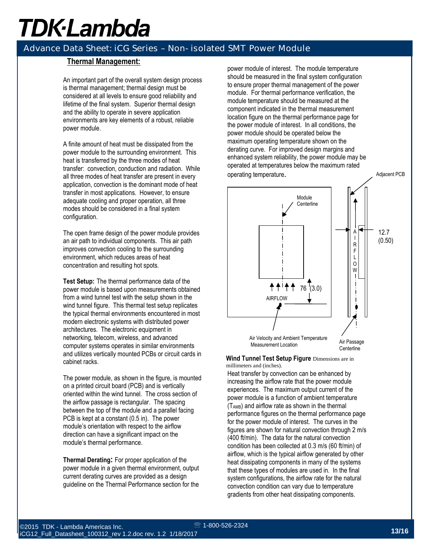## Advance Data Sheet: iCG Series – Non-isolated SMT Power Module

### **Thermal Management:**

An important part of the overall system design process is thermal management; thermal design must be considered at all levels to ensure good reliability and lifetime of the final system. Superior thermal design and the ability to operate in severe application environments are key elements of a robust, reliable power module.

A finite amount of heat must be dissipated from the power module to the surrounding environment. This heat is transferred by the three modes of heat transfer: convection, conduction and radiation. While all three modes of heat transfer are present in every application, convection is the dominant mode of heat transfer in most applications. However, to ensure adequate cooling and proper operation, all three modes should be considered in a final system configuration.

The open frame design of the power module provides an air path to individual components. This air path improves convection cooling to the surrounding environment, which reduces areas of heat concentration and resulting hot spots.

**Test Setup:** The thermal performance data of the power module is based upon measurements obtained from a wind tunnel test with the setup shown in the wind tunnel figure. This thermal test setup replicates the typical thermal environments encountered in most modern electronic systems with distributed power architectures. The electronic equipment in networking, telecom, wireless, and advanced computer systems operates in similar environments and utilizes vertically mounted PCBs or circuit cards in cabinet racks.

The power module, as shown in the figure, is mounted on a printed circuit board (PCB) and is vertically oriented within the wind tunnel. The cross section of the airflow passage is rectangular. The spacing between the top of the module and a parallel facing PCB is kept at a constant (0.5 in). The power module's orientation with respect to the airflow direction can have a significant impact on the module's thermal performance.

**Thermal Derating:** For proper application of the power module in a given thermal environment, output current derating curves are provided as a design guideline on the Thermal Performance section for the

power module of interest. The module temperature should be measured in the final system configuration to ensure proper thermal management of the power module. For thermal performance verification, the module temperature should be measured at the component indicated in the thermal measurement location figure on the thermal performance page for the power module of interest. In all conditions, the power module should be operated below the maximum operating temperature shown on the derating curve. For improved design margins and enhanced system reliability, the power module may be operated at temperatures below the maximum rated operating temperature.



**Wind Tunnel Test Setup Figure** Dimensions are in millimeters and (inches).

Heat transfer by convection can be enhanced by increasing the airflow rate that the power module experiences. The maximum output current of the power module is a function of ambient temperature  $(T<sub>AMB</sub>)$  and airflow rate as shown in the thermal performance figures on the thermal performance page for the power module of interest. The curves in the figures are shown for natural convection through 2 m/s (400 ft/min). The data for the natural convection condition has been collected at 0.3 m/s (60 ft/min) of airflow, which is the typical airflow generated by other heat dissipating components in many of the systems that these types of modules are used in. In the final system configurations, the airflow rate for the natural convection condition can vary due to temperature gradients from other heat dissipating components.

Adjacent PCB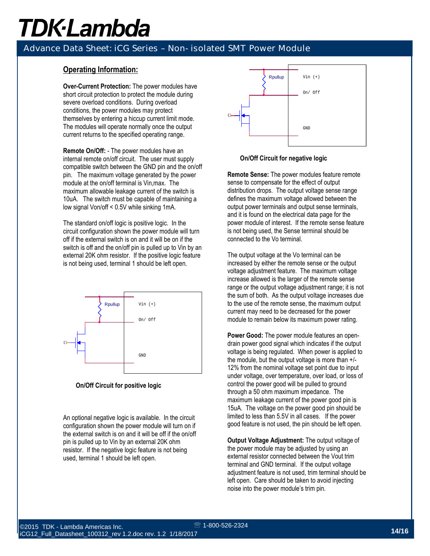## Advance Data Sheet: iCG Series – Non-isolated SMT Power Module

### **Operating Information:**

**Over-Current Protection:** The power modules have short circuit protection to protect the module during severe overload conditions. During overload conditions, the power modules may protect themselves by entering a hiccup current limit mode. The modules will operate normally once the output current returns to the specified operating range.

**Remote On/Off:** - The power modules have an internal remote on/off circuit. The user must supply compatible switch between the GND pin and the on/off pin. The maximum voltage generated by the power module at the on/off terminal is Vin,max. The maximum allowable leakage current of the switch is 10uA. The switch must be capable of maintaining a low signal Von/off < 0.5V while sinking 1mA.

The standard on/off logic is positive logic. In the circuit configuration shown the power module will turn off if the external switch is on and it will be on if the switch is off and the on/off pin is pulled up to Vin by an external 20K ohm resistor. If the positive logic feature is not being used, terminal 1 should be left open.



#### **On/Off Circuit for positive logic**

An optional negative logic is available. In the circuit configuration shown the power module will turn on if the external switch is on and it will be off if the on/off pin is pulled up to Vin by an external 20K ohm resistor. If the negative logic feature is not being used, terminal 1 should be left open.



#### **On/Off Circuit for negative logic**

**Remote Sense:** The power modules feature remote sense to compensate for the effect of output distribution drops. The output voltage sense range defines the maximum voltage allowed between the output power terminals and output sense terminals, and it is found on the electrical data page for the power module of interest. If the remote sense feature is not being used, the Sense terminal should be connected to the Vo terminal.

The output voltage at the Vo terminal can be increased by either the remote sense or the output voltage adjustment feature. The maximum voltage increase allowed is the larger of the remote sense range or the output voltage adjustment range; it is not the sum of both. As the output voltage increases due to the use of the remote sense, the maximum output current may need to be decreased for the power module to remain below its maximum power rating.

**Power Good:** The power module features an opendrain power good signal which indicates if the output voltage is being regulated. When power is applied to the module, but the output voltage is more than +/- 12% from the nominal voltage set point due to input under voltage, over temperature, over load, or loss of control the power good will be pulled to ground through a 50 ohm maximum impedance. The maximum leakage current of the power good pin is 15uA. The voltage on the power good pin should be limited to less than 5.5V in all cases. If the power good feature is not used, the pin should be left open.

**Output Voltage Adjustment:** The output voltage of the power module may be adjusted by using an external resistor connected between the Vout trim terminal and GND terminal. If the output voltage adjustment feature is not used, trim terminal should be left open. Care should be taken to avoid injecting noise into the power module's trim pin.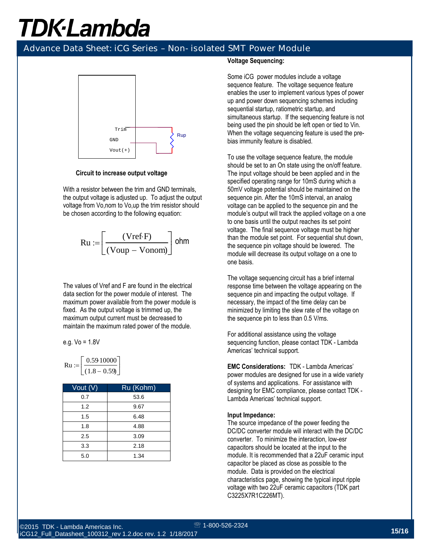### Advance Data Sheet: iCG Series – Non-isolated SMT Power Module



#### **Circuit to increase output voltage**

With a resistor between the trim and GND terminals, the output voltage is adjusted up. To adjust the output voltage from Vo,nom to Vo,up the trim resistor should be chosen according to the following equation:

$$
Ru:=\!\!\left[\frac{(Vref\!\cdot\!F)}{(Voup-Vonom)}\right]\text{ohm}
$$

The values of Vref and F are found in the electrical data section for the power module of interest. The maximum power available from the power module is fixed. As the output voltage is trimmed up, the maximum output current must be decreased to maintain the maximum rated power of the module.

e.g. 
$$
V_0 = 1.8V
$$

$$
Ru := \left[\frac{0.5910000}{(1.8 - 0.59)}\right]
$$

| Vout (V) | Ru (Kohm) |
|----------|-----------|
| 0.7      | 53.6      |
| 1.2      | 9.67      |
| 1.5      | 6.48      |
| 1.8      | 4.88      |
| 2.5      | 3.09      |
| 3.3      | 2.18      |
| 5.0      | 1.34      |

#### **Voltage Sequencing:**

Some iCG power modules include a voltage sequence feature. The voltage sequence feature enables the user to implement various types of power up and power down sequencing schemes including sequential startup, ratiometric startup, and simultaneous startup. If the sequencing feature is not being used the pin should be left open or tied to Vin. When the voltage sequencing feature is used the prebias immunity feature is disabled.

To use the voltage sequence feature, the module should be set to an On state using the on/off feature. The input voltage should be been applied and in the specified operating range for 10mS during which a 50mV voltage potential should be maintained on the sequence pin. After the 10mS interval, an analog voltage can be applied to the sequence pin and the module's output will track the applied voltage on a one to one basis until the output reaches its set point voltage. The final sequence voltage must be higher than the module set point. For sequential shut down, the sequence pin voltage should be lowered. The module will decrease its output voltage on a one to one basis.

The voltage sequencing circuit has a brief internal response time between the voltage appearing on the sequence pin and impacting the output voltage. If necessary, the impact of the time delay can be minimized by limiting the slew rate of the voltage on the sequence pin to less than 0.5 V/ms.

For additional assistance using the voltage sequencing function, please contact TDK - Lambda Americas' technical support.

**EMC Considerations:** TDK - Lambda Americas' power modules are designed for use in a wide variety of systems and applications. For assistance with designing for EMC compliance, please contact TDK - Lambda Americas' technical support.

#### **Input Impedance:**

The source impedance of the power feeding the DC/DC converter module will interact with the DC/DC converter. To minimize the interaction, low-esr capacitors should be located at the input to the module. It is recommended that a 22uF ceramic input capacitor be placed as close as possible to the module. Data is provided on the electrical characteristics page, showing the typical input ripple voltage with two 22uF ceramic capacitors (TDK part C3225X7R1C226MT).